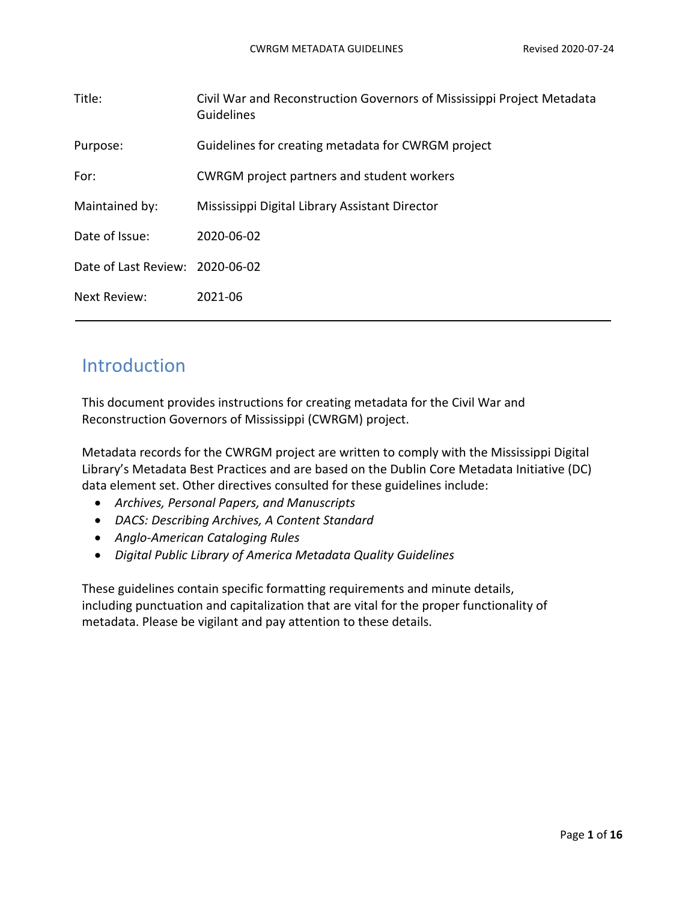| Civil War and Reconstruction Governors of Mississippi Project Metadata<br>Guidelines |
|--------------------------------------------------------------------------------------|
| Guidelines for creating metadata for CWRGM project                                   |
| CWRGM project partners and student workers                                           |
| Mississippi Digital Library Assistant Director                                       |
| 2020-06-02                                                                           |
| Date of Last Review: 2020-06-02                                                      |
| 2021-06                                                                              |
|                                                                                      |

## Introduction

This document provides instructions for creating metadata for the Civil War and Reconstruction Governors of Mississippi (CWRGM) project.

Metadata records for the CWRGM project are written to comply with the Mississippi Digital Library's Metadata Best Practices and are based on the Dublin Core Metadata Initiative (DC) data element set. Other directives consulted for these guidelines include:

- *Archives, Personal Papers, and Manuscripts*
- *DACS: Describing Archives, A Content Standard*
- *Anglo-American Cataloging Rules*
- *Digital Public Library of America Metadata Quality Guidelines*

These guidelines contain specific formatting requirements and minute details, including punctuation and capitalization that are vital for the proper functionality of metadata. Please be vigilant and pay attention to these details.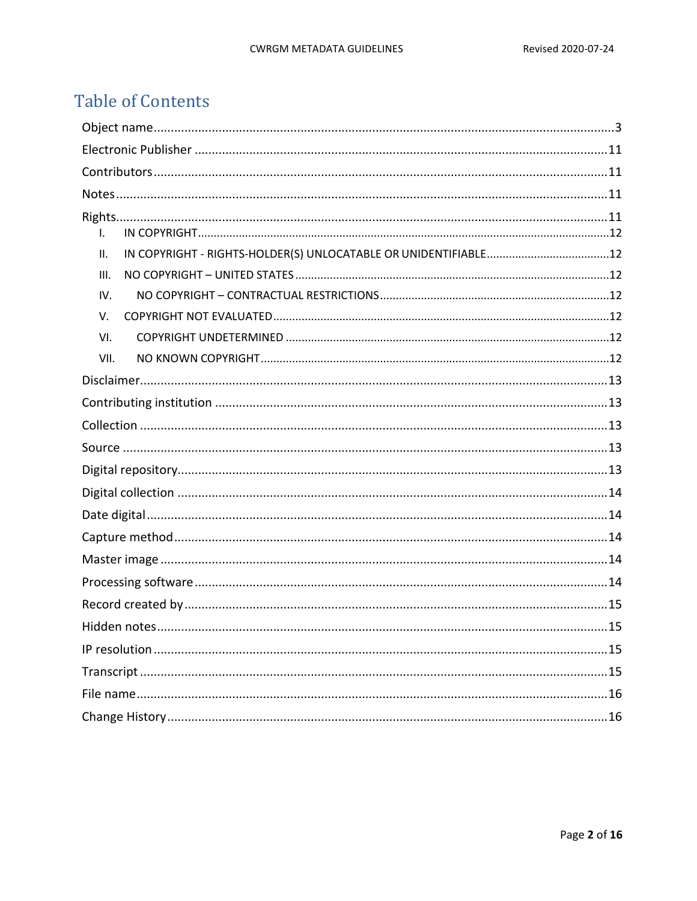# **Table of Contents**

| I.   |
|------|
| II.  |
| III. |
| IV.  |
| V.   |
| VI.  |
| VII. |
|      |
|      |
|      |
|      |
|      |
|      |
|      |
|      |
|      |
|      |
|      |
| .15  |
|      |
|      |
|      |
|      |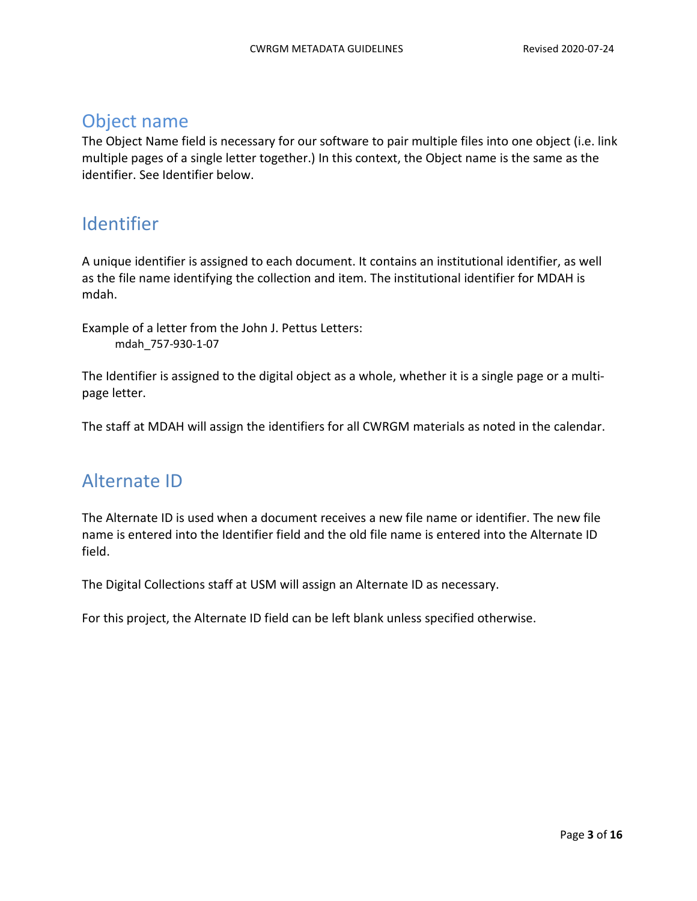### <span id="page-2-0"></span>Object name

The Object Name field is necessary for our software to pair multiple files into one object (i.e. link multiple pages of a single letter together.) In this context, the Object name is the same as the identifier. See Identifier below.

## Identifier

A unique identifier is assigned to each document. It contains an institutional identifier, as well as the file name identifying the collection and item. The institutional identifier for MDAH is mdah.

Example of a letter from the John J. Pettus Letters: mdah\_757-930-1-07

The Identifier is assigned to the digital object as a whole, whether it is a single page or a multipage letter.

The staff at MDAH will assign the identifiers for all CWRGM materials as noted in the calendar.

## Alternate ID

The Alternate ID is used when a document receives a new file name or identifier. The new file name is entered into the Identifier field and the old file name is entered into the Alternate ID field.

The Digital Collections staff at USM will assign an Alternate ID as necessary.

For this project, the Alternate ID field can be left blank unless specified otherwise.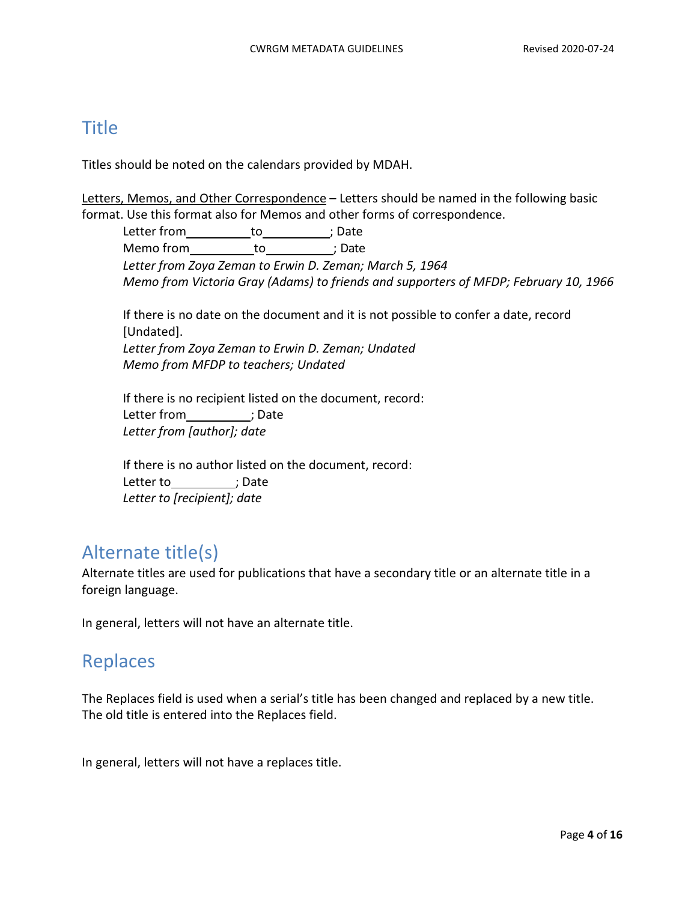### **Title**

Titles should be noted on the calendars provided by MDAH.

Letters, Memos, and Other Correspondence - Letters should be named in the following basic format. Use this format also for Memos and other forms of correspondence.

Letter from \_\_\_\_\_\_\_\_\_\_\_\_to\_\_\_\_\_\_\_\_\_\_\_\_; Date Memo from\_\_\_\_\_\_\_\_\_\_\_\_\_to\_\_\_\_\_\_\_\_\_\_\_\_\_; Date *Letter from Zoya Zeman to Erwin D. Zeman; March 5, 1964 Memo from Victoria Gray (Adams) to friends and supporters of MFDP; February 10, 1966* 

If there is no date on the document and it is not possible to confer a date, record [Undated]. *Letter from Zoya Zeman to Erwin D. Zeman; Undated Memo from MFDP to teachers; Undated*

If there is no recipient listed on the document, record: Letter from \_\_\_\_\_\_\_\_\_; Date *Letter from [author]; date*

If there is no author listed on the document, record: Letter to fight to the control of the control of the control of the control of the control of the control of t<br>and the control of the control of the control of the control of the control of the control of the control of t<br> *Letter to [recipient]; date*

# Alternate title(s)

Alternate titles are used for publications that have a secondary title or an alternate title in a foreign language.

In general, letters will not have an alternate title.

## Replaces

The Replaces field is used when a serial's title has been changed and replaced by a new title. The old title is entered into the Replaces field.

In general, letters will not have a replaces title.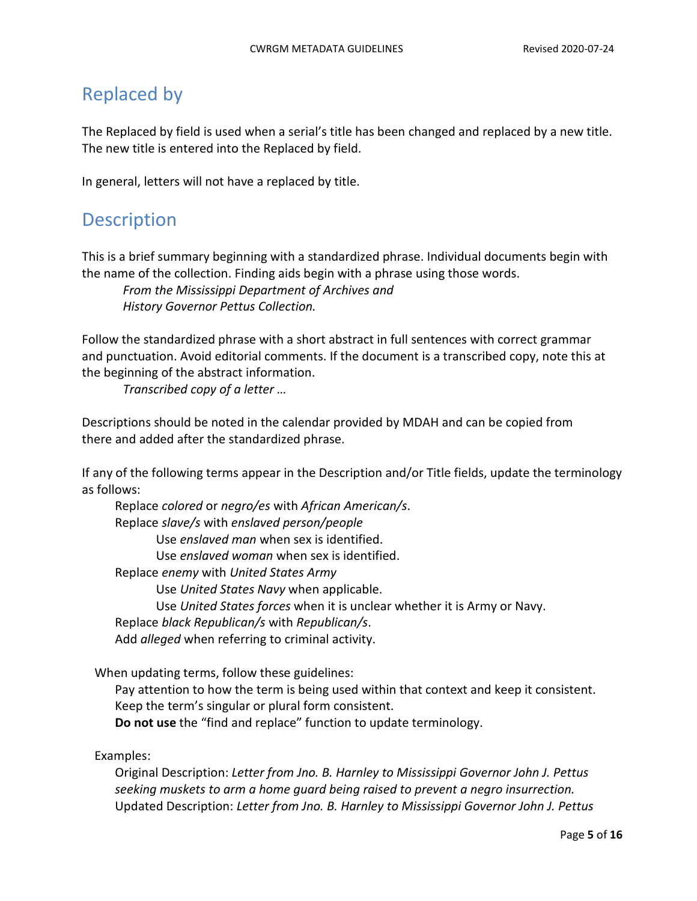## Replaced by

The Replaced by field is used when a serial's title has been changed and replaced by a new title. The new title is entered into the Replaced by field.

In general, letters will not have a replaced by title.

## **Description**

This is a brief summary beginning with a standardized phrase. Individual documents begin with the name of the collection. Finding aids begin with a phrase using those words.

*From the Mississippi Department of Archives and History Governor Pettus Collection.*

Follow the standardized phrase with a short abstract in full sentences with correct grammar and punctuation. Avoid editorial comments. If the document is a transcribed copy, note this at the beginning of the abstract information.

*Transcribed copy of a letter …*

Descriptions should be noted in the calendar provided by MDAH and can be copied from there and added after the standardized phrase.

If any of the following terms appear in the Description and/or Title fields, update the terminology as follows:

Replace *colored* or *negro/es* with *African American/s*. Replace *slave/s* with *enslaved person/people* Use *enslaved man* when sex is identified. Use *enslaved woman* when sex is identified. Replace *enemy* with *United States Army* Use *United States Navy* when applicable. Use *United States forces* when it is unclear whether it is Army or Navy. Replace *black Republican/s* with *Republican/s*. Add *alleged* when referring to criminal activity.

When updating terms, follow these guidelines:

Pay attention to how the term is being used within that context and keep it consistent. Keep the term's singular or plural form consistent. **Do not use** the "find and replace" function to update terminology.

Examples:

Original Description: *Letter from Jno. B. Harnley to Mississippi Governor John J. Pettus seeking muskets to arm a home guard being raised to prevent a negro insurrection.* Updated Description: *Letter from Jno. B. Harnley to Mississippi Governor John J. Pettus*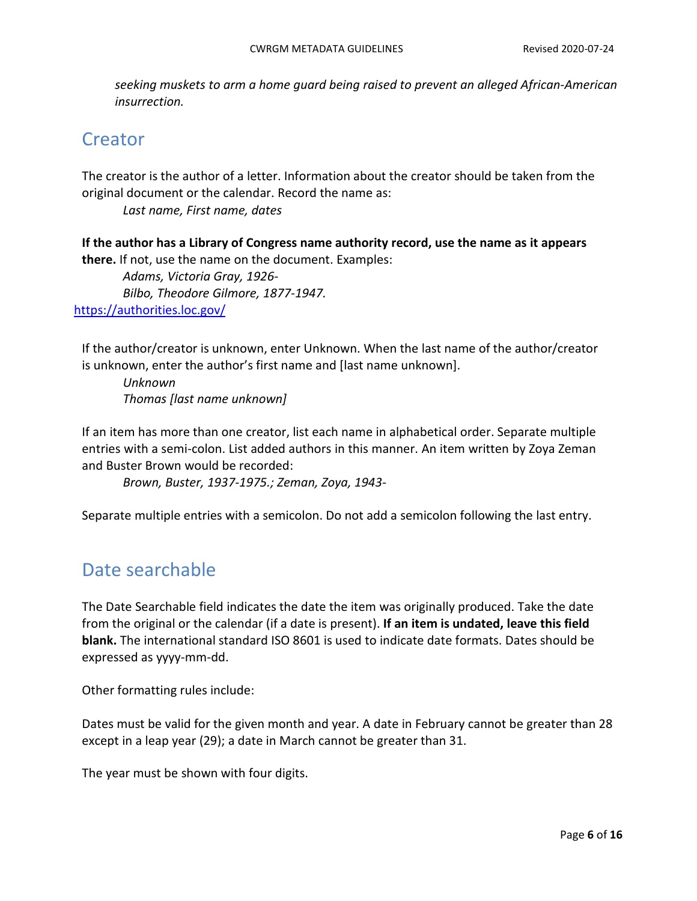*seeking muskets to arm a home guard being raised to prevent an alleged African-American insurrection.*

## **Creator**

The creator is the author of a letter. Information about the creator should be taken from the original document or the calendar. Record the name as:

*Last name, First name, dates*

**If the author has a Library of Congress name authority record, use the name as it appears** 

**there.** If not, use the name on the document. Examples: *Adams, Victoria Gray, 1926- Bilbo, Theodore Gilmore, 1877-1947.* [https://authorities.loc.gov/](about:blank)

If the author/creator is unknown, enter Unknown. When the last name of the author/creator is unknown, enter the author's first name and [last name unknown].

*Unknown Thomas [last name unknown]*

If an item has more than one creator, list each name in alphabetical order. Separate multiple entries with a semi-colon. List added authors in this manner. An item written by Zoya Zeman and Buster Brown would be recorded:

*Brown, Buster, 1937-1975.; Zeman, Zoya, 1943-*

Separate multiple entries with a semicolon. Do not add a semicolon following the last entry.

### Date searchable

The Date Searchable field indicates the date the item was originally produced. Take the date from the original or the calendar (if a date is present). **If an item is undated, leave this field blank.** The international standard ISO 8601 is used to indicate date formats. Dates should be expressed as yyyy-mm-dd.

Other formatting rules include:

Dates must be valid for the given month and year. A date in February cannot be greater than 28 except in a leap year (29); a date in March cannot be greater than 31.

The year must be shown with four digits.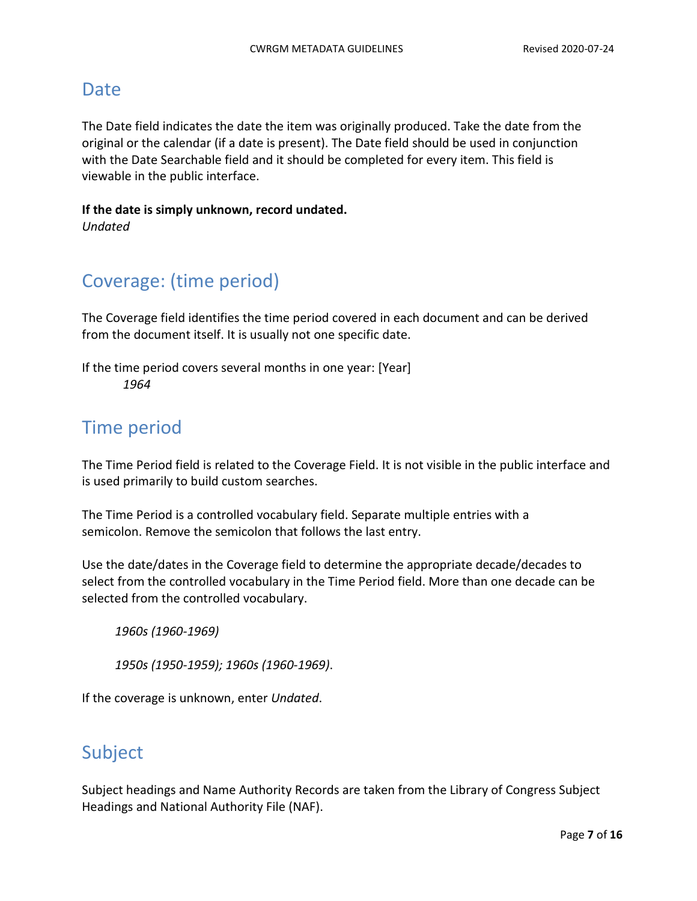### Date

The Date field indicates the date the item was originally produced. Take the date from the original or the calendar (if a date is present). The Date field should be used in conjunction with the Date Searchable field and it should be completed for every item. This field is viewable in the public interface.

**If the date is simply unknown, record undated.** *Undated*

## Coverage: (time period)

The Coverage field identifies the time period covered in each document and can be derived from the document itself. It is usually not one specific date.

If the time period covers several months in one year: [Year] *1964*

## Time period

The Time Period field is related to the Coverage Field. It is not visible in the public interface and is used primarily to build custom searches.

The Time Period is a controlled vocabulary field. Separate multiple entries with a semicolon. Remove the semicolon that follows the last entry.

Use the date/dates in the Coverage field to determine the appropriate decade/decades to select from the controlled vocabulary in the Time Period field. More than one decade can be selected from the controlled vocabulary.

*1960s (1960-1969)*

*1950s (1950-1959); 1960s (1960-1969)*.

If the coverage is unknown, enter *Undated*.

## Subject

Subject headings and Name Authority Records are taken from the Library of Congress Subject Headings and National Authority File (NAF).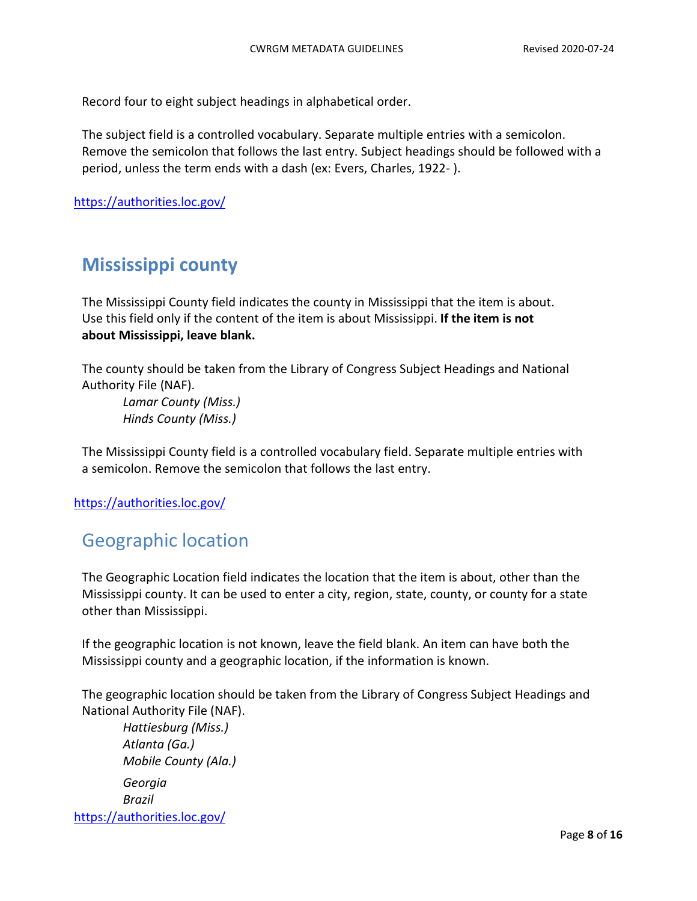Record four to eight subject headings in alphabetical order.

The subject field is a controlled vocabulary. Separate multiple entries with a semicolon. Remove the semicolon that follows the last entry. Subject headings should be followed with a period, unless the term ends with a dash (ex: Evers, Charles, 1922- ).

[https://authorities.loc.gov/](about:blank)

## **Mississippi county**

The Mississippi County field indicates the county in Mississippi that the item is about. Use this field only if the content of the item is about Mississippi. **If the item is not about Mississippi, leave blank.**

The county should be taken from the Library of Congress Subject Headings and National Authority File (NAF).

*Lamar County (Miss.) Hinds County (Miss.)*

The Mississippi County field is a controlled vocabulary field. Separate multiple entries with a semicolon. Remove the semicolon that follows the last entry.

[https://authorities.loc.gov/](about:blank)

## Geographic location

The Geographic Location field indicates the location that the item is about, other than the Mississippi county. It can be used to enter a city, region, state, county, or county for a state other than Mississippi.

If the geographic location is not known, leave the field blank. An item can have both the Mississippi county and a geographic location, if the information is known.

The geographic location should be taken from the Library of Congress Subject Headings and National Authority File (NAF).

*Hattiesburg (Miss.) Atlanta (Ga.) Mobile County (Ala.) Georgia Brazil* [https://authorities.loc.gov/](about:blank)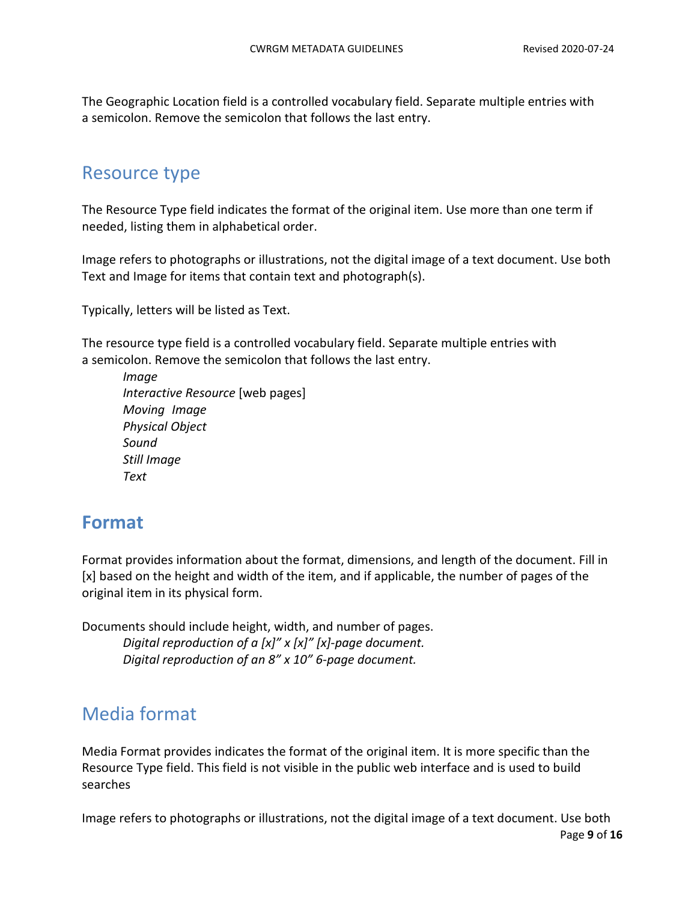The Geographic Location field is a controlled vocabulary field. Separate multiple entries with a semicolon. Remove the semicolon that follows the last entry.

## Resource type

The Resource Type field indicates the format of the original item. Use more than one term if needed, listing them in alphabetical order.

Image refers to photographs or illustrations, not the digital image of a text document. Use both Text and Image for items that contain text and photograph(s).

Typically, letters will be listed as Text.

The resource type field is a controlled vocabulary field. Separate multiple entries with a semicolon. Remove the semicolon that follows the last entry.

*Image Interactive Resource* [web pages] *Moving Image Physical Object Sound Still Image Text*

## **Format**

Format provides information about the format, dimensions, and length of the document. Fill in [x] based on the height and width of the item, and if applicable, the number of pages of the original item in its physical form.

Documents should include height, width, and number of pages. *Digital reproduction of a [x]" x [x]" [x]-page document. Digital reproduction of an 8" x 10" 6-page document.*

## Media format

Media Format provides indicates the format of the original item. It is more specific than the Resource Type field. This field is not visible in the public web interface and is used to build searches

Image refers to photographs or illustrations, not the digital image of a text document. Use both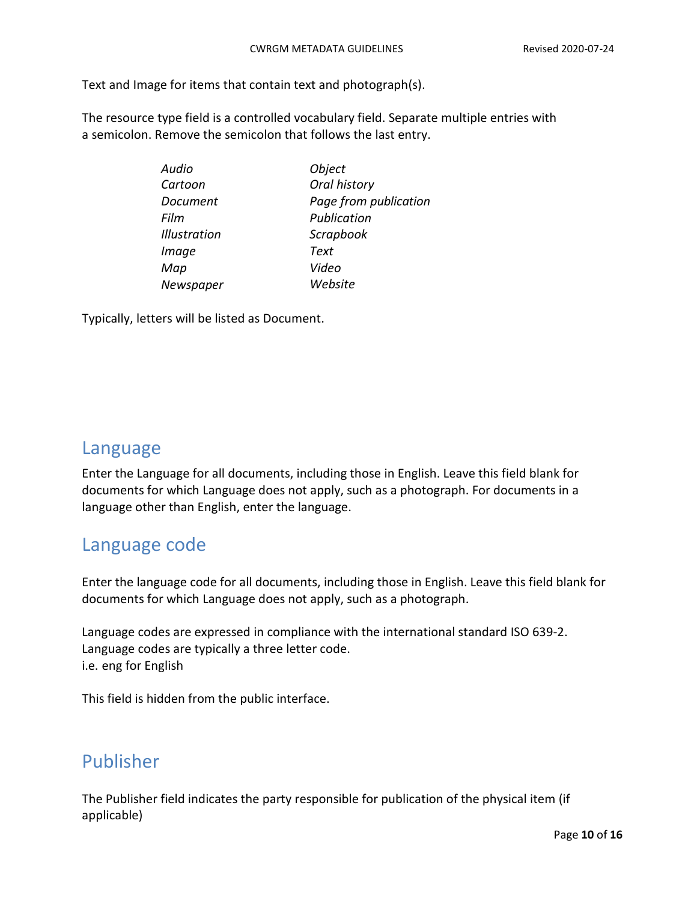Text and Image for items that contain text and photograph(s).

The resource type field is a controlled vocabulary field. Separate multiple entries with a semicolon. Remove the semicolon that follows the last entry.

| Audio               | Object                |
|---------------------|-----------------------|
| Cartoon             | Oral history          |
| Document            | Page from publication |
| Film                | Publication           |
| <b>Illustration</b> | Scrapbook             |
| Image               | Text                  |
| Map                 | Video                 |
| Newspaper           | Website               |
|                     |                       |

Typically, letters will be listed as Document.

### Language

Enter the Language for all documents, including those in English. Leave this field blank for documents for which Language does not apply, such as a photograph. For documents in a language other than English, enter the language.

### Language code

Enter the language code for all documents, including those in English. Leave this field blank for documents for which Language does not apply, such as a photograph.

Language codes are expressed in compliance with the international standard ISO 639-2. Language codes are typically a three letter code. i.e. eng for English

This field is hidden from the public interface.

## Publisher

The Publisher field indicates the party responsible for publication of the physical item (if applicable)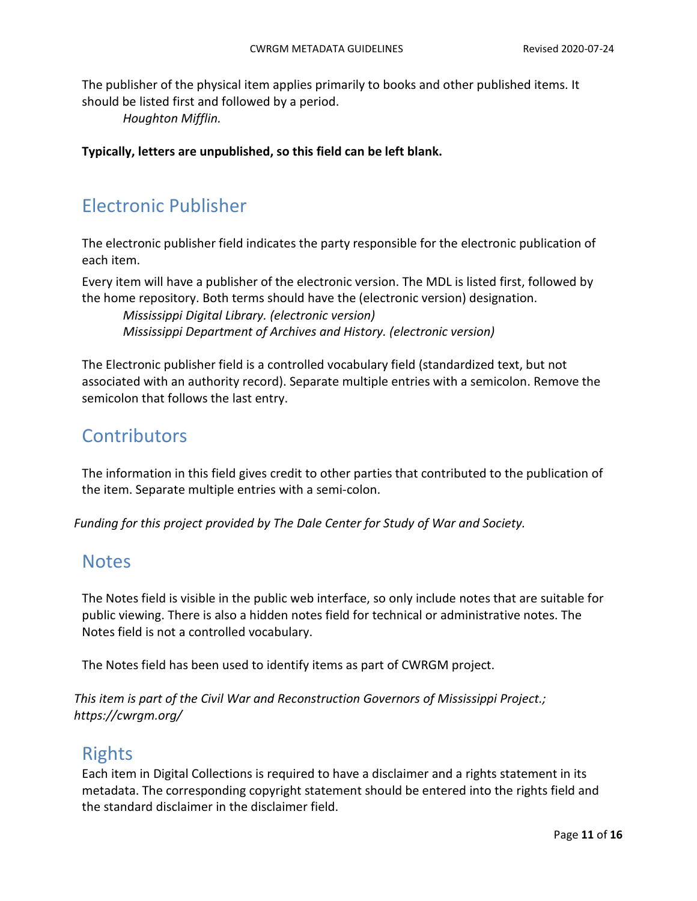The publisher of the physical item applies primarily to books and other published items. It should be listed first and followed by a period.

*Houghton Mifflin.*

**Typically, letters are unpublished, so this field can be left blank.**

## <span id="page-10-0"></span>Electronic Publisher

The electronic publisher field indicates the party responsible for the electronic publication of each item.

Every item will have a publisher of the electronic version. The MDL is listed first, followed by the home repository. Both terms should have the (electronic version) designation.

*Mississippi Digital Library. (electronic version) Mississippi Department of Archives and History. (electronic version)*

The Electronic publisher field is a controlled vocabulary field (standardized text, but not associated with an authority record). Separate multiple entries with a semicolon. Remove the semicolon that follows the last entry.

## <span id="page-10-1"></span>**Contributors**

The information in this field gives credit to other parties that contributed to the publication of the item. Separate multiple entries with a semi-colon.

*Funding for this project provided by The Dale Center for Study of War and Society.*

### <span id="page-10-2"></span>**Notes**

The Notes field is visible in the public web interface, so only include notes that are suitable for public viewing. There is also a hidden notes field for technical or administrative notes. The Notes field is not a controlled vocabulary.

The Notes field has been used to identify items as part of CWRGM project.

*This item is part of the Civil War and Reconstruction Governors of Mississippi Project.; https://cwrgm.org/*

### <span id="page-10-3"></span>Rights

Each item in Digital Collections is required to have a disclaimer and a rights statement in its metadata. The corresponding copyright statement should be entered into the rights field and the standard disclaimer in the disclaimer field.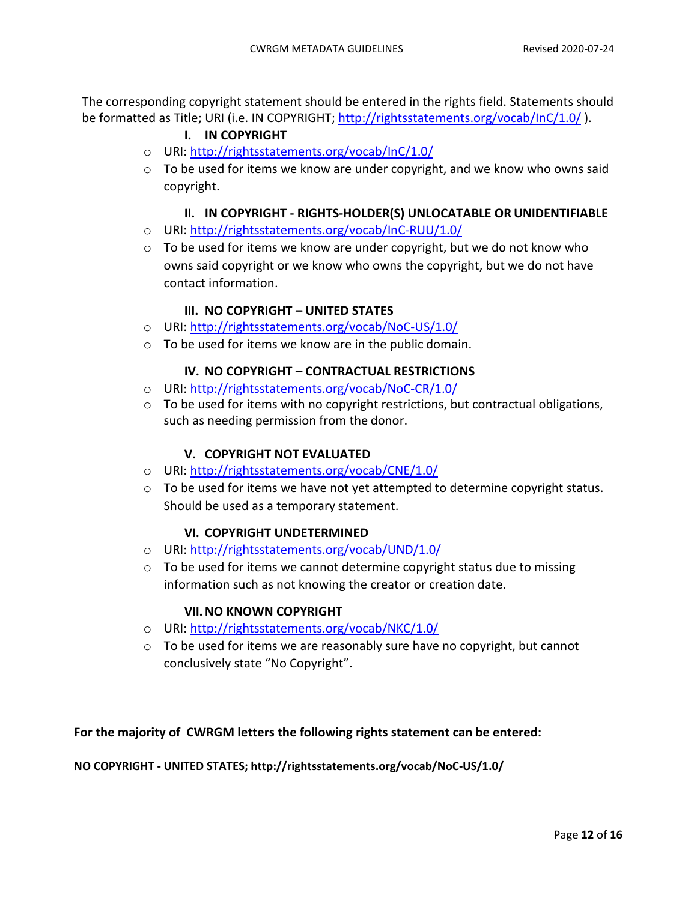<span id="page-11-0"></span>The corresponding copyright statement should be entered in the rights field. Statements should be formatted as Title; URI (i.e. IN COPYRIGHT; [http://rightsstatements.org/vocab/InC/1.0/](about:blank)).

#### **I. IN COPYRIGHT**

- o URI: [http://rightsstatements.org/vocab/InC/1.0/](about:blank)
- o To be used for items we know are under copyright, and we know who owns said copyright.

#### **II. IN COPYRIGHT - RIGHTS-HOLDER(S) UNLOCATABLE OR UNIDENTIFIABLE**

- <span id="page-11-1"></span>o URI: [http://rightsstatements.org/vocab/InC-RUU/1.0/](about:blank)
- $\circ$  To be used for items we know are under copyright, but we do not know who owns said copyright or we know who owns the copyright, but we do not have contact information.

#### **III. NO COPYRIGHT – UNITED STATES**

- <span id="page-11-2"></span>o URI: [http://rightsstatements.org/vocab/NoC-US/1.0/](about:blank)
- <span id="page-11-3"></span>o To be used for items we know are in the public domain.

#### **IV. NO COPYRIGHT – CONTRACTUAL RESTRICTIONS**

- o URI: [http://rightsstatements.org/vocab/NoC-CR/1.0/](about:blank)
- $\circ$  To be used for items with no copyright restrictions, but contractual obligations, such as needing permission from the donor.

#### **V. COPYRIGHT NOT EVALUATED**

- <span id="page-11-4"></span>o URI: [http://rightsstatements.org/vocab/CNE/1.0/](about:blank)
- o To be used for items we have not yet attempted to determine copyright status. Should be used as a temporary statement.

#### **VI. COPYRIGHT UNDETERMINED**

- <span id="page-11-5"></span>o URI: [http://rightsstatements.org/vocab/UND/1.0/](about:blank)
- $\circ$  To be used for items we cannot determine copyright status due to missing information such as not knowing the creator or creation date.

#### **VII.NO KNOWN COPYRIGHT**

- <span id="page-11-6"></span>o URI: [http://rightsstatements.org/vocab/NKC/1.0/](about:blank)
- $\circ$  To be used for items we are reasonably sure have no copyright, but cannot conclusively state "No Copyright".

**For the majority of CWRGM letters the following rights statement can be entered:**

**NO COPYRIGHT - UNITED STATES; http://rightsstatements.org/vocab/NoC-US/1.0/**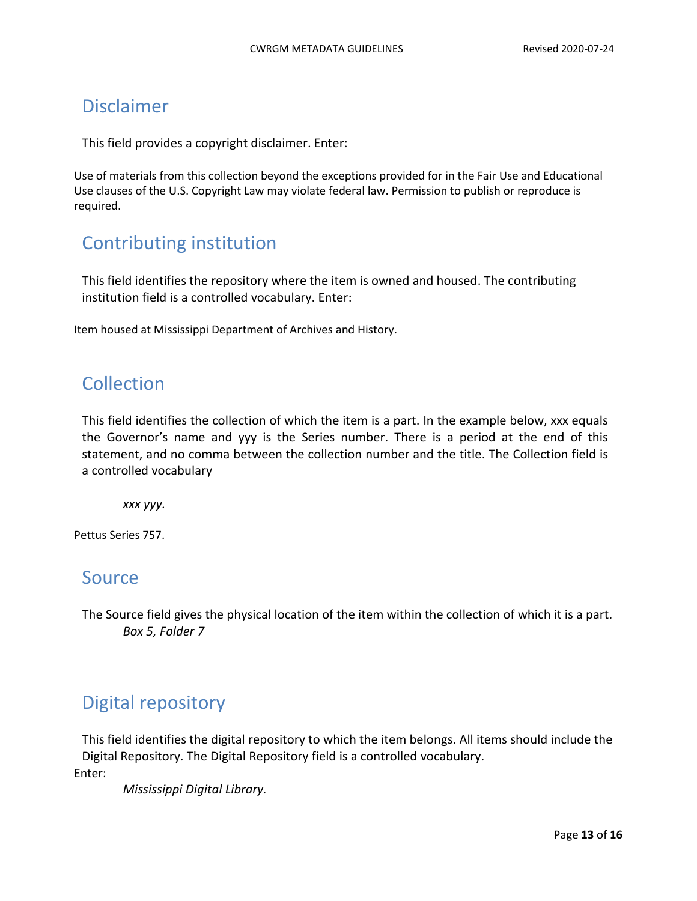## <span id="page-12-0"></span>Disclaimer

This field provides a copyright disclaimer. Enter:

Use of materials from this collection beyond the exceptions provided for in the Fair Use and Educational Use clauses of the U.S. Copyright Law may violate federal law. Permission to publish or reproduce is required.

## <span id="page-12-1"></span>Contributing institution

This field identifies the repository where the item is owned and housed. The contributing institution field is a controlled vocabulary. Enter:

Item housed at Mississippi Department of Archives and History.

## <span id="page-12-2"></span>Collection

This field identifies the collection of which the item is a part. In the example below, xxx equals the Governor's name and yyy is the Series number. There is a period at the end of this statement, and no comma between the collection number and the title. The Collection field is a controlled vocabulary

*xxx yyy.*

Pettus Series 757.

### <span id="page-12-3"></span>Source

The Source field gives the physical location of the item within the collection of which it is a part. *Box 5, Folder 7*

## <span id="page-12-4"></span>Digital repository

This field identifies the digital repository to which the item belongs. All items should include the Digital Repository. The Digital Repository field is a controlled vocabulary. Enter:

*Mississippi Digital Library.*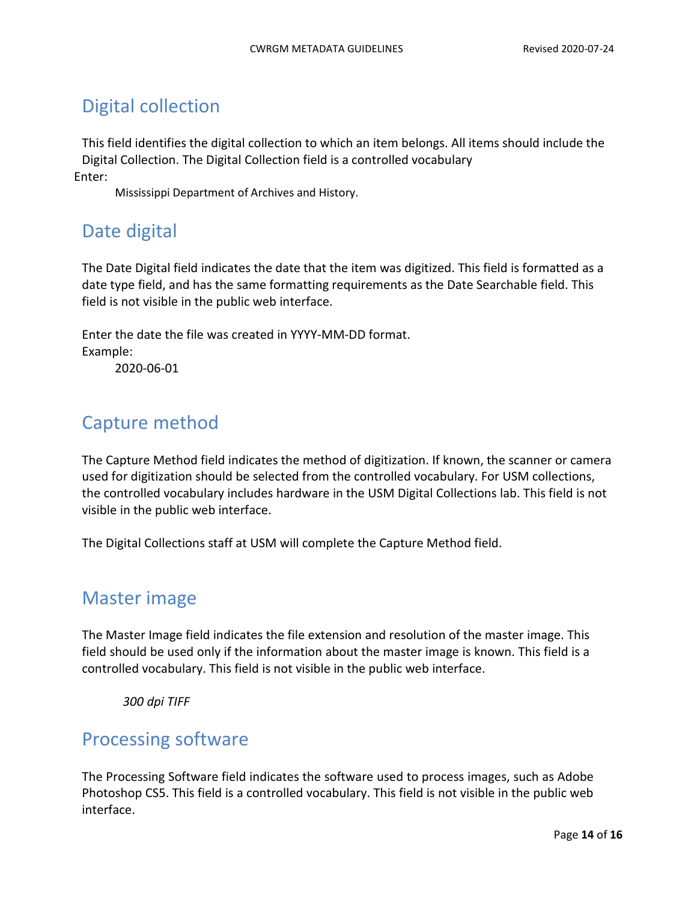# <span id="page-13-0"></span>Digital collection

This field identifies the digital collection to which an item belongs. All items should include the Digital Collection. The Digital Collection field is a controlled vocabulary Enter:

Mississippi Department of Archives and History.

## <span id="page-13-1"></span>Date digital

The Date Digital field indicates the date that the item was digitized. This field is formatted as a date type field, and has the same formatting requirements as the Date Searchable field. This field is not visible in the public web interface.

Enter the date the file was created in YYYY-MM-DD format. Example:

2020-06-01

## <span id="page-13-2"></span>Capture method

The Capture Method field indicates the method of digitization. If known, the scanner or camera used for digitization should be selected from the controlled vocabulary. For USM collections, the controlled vocabulary includes hardware in the USM Digital Collections lab. This field is not visible in the public web interface.

The Digital Collections staff at USM will complete the Capture Method field.

## <span id="page-13-3"></span>Master image

The Master Image field indicates the file extension and resolution of the master image. This field should be used only if the information about the master image is known. This field is a controlled vocabulary. This field is not visible in the public web interface.

*300 dpi TIFF*

## <span id="page-13-4"></span>Processing software

The Processing Software field indicates the software used to process images, such as Adobe Photoshop CS5. This field is a controlled vocabulary. This field is not visible in the public web interface.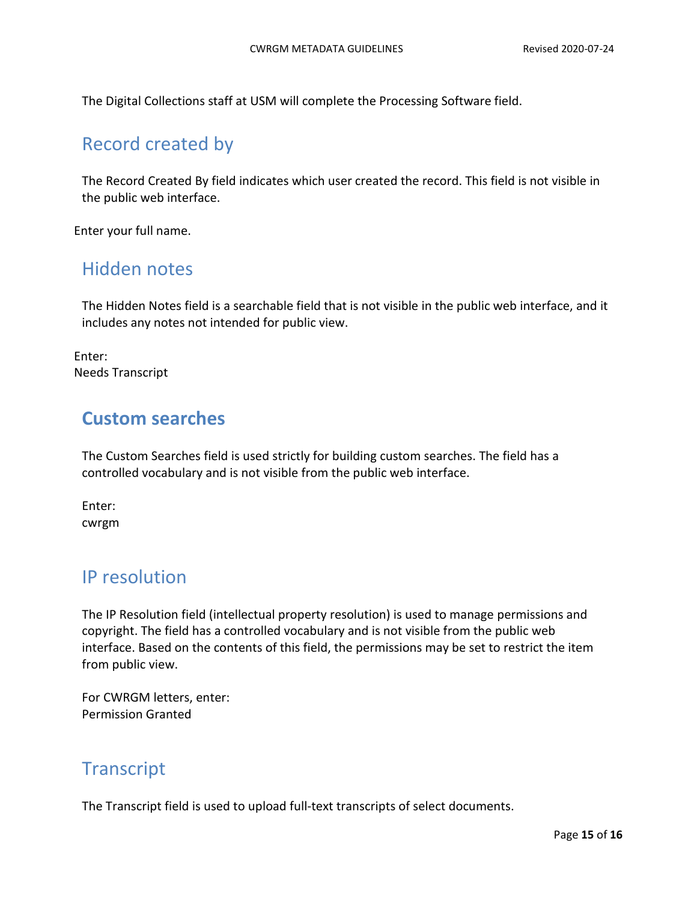The Digital Collections staff at USM will complete the Processing Software field.

### <span id="page-14-0"></span>Record created by

The Record Created By field indicates which user created the record. This field is not visible in the public web interface.

Enter your full name.

### <span id="page-14-1"></span>Hidden notes

The Hidden Notes field is a searchable field that is not visible in the public web interface, and it includes any notes not intended for public view.

Enter: Needs Transcript

### **Custom searches**

The Custom Searches field is used strictly for building custom searches. The field has a controlled vocabulary and is not visible from the public web interface.

Enter: cwrgm

## <span id="page-14-2"></span>IP resolution

The IP Resolution field (intellectual property resolution) is used to manage permissions and copyright. The field has a controlled vocabulary and is not visible from the public web interface. Based on the contents of this field, the permissions may be set to restrict the item from public view.

For CWRGM letters, enter: Permission Granted

## <span id="page-14-3"></span>**Transcript**

The Transcript field is used to upload full-text transcripts of select documents.